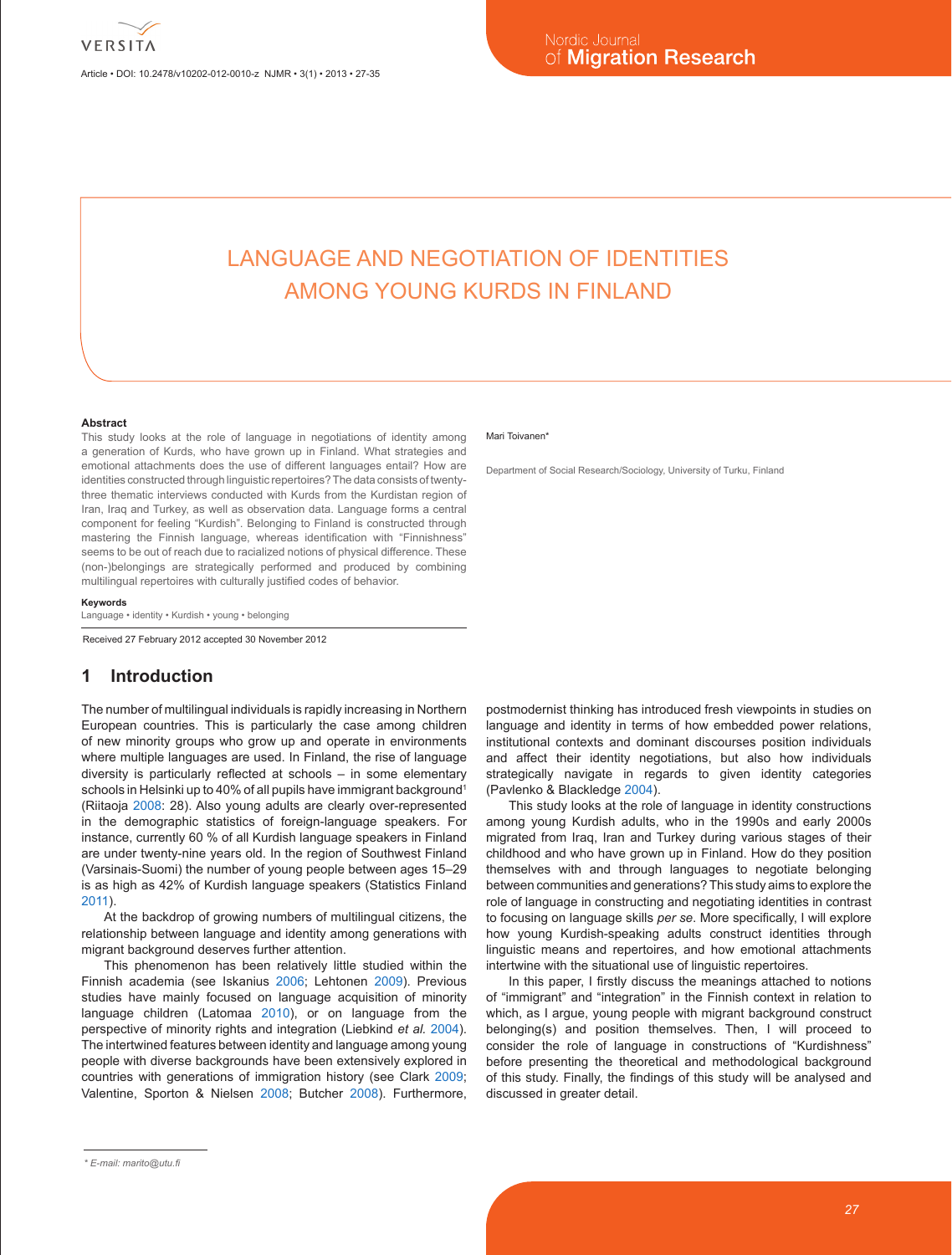Article • DOI: 10.2478/v10202-012-0010-z NJMR • 3(1) • 2013 • 27-35

# LANGUAGE AND NEGOTIATION OF IDENTITIES AMONG YOUNG KURDS IN FINLAND

#### **Abstract**

This study looks at the role of language in negotiations of identity among a generation of Kurds, who have grown up in Finland. What strategies and emotional attachments does the use of different languages entail? How are identities constructed through linguistic repertoires? The data consists of twentythree thematic interviews conducted with Kurds from the Kurdistan region of Iran, Iraq and Turkey, as well as observation data. Language forms a central component for feeling "Kurdish". Belonging to Finland is constructed through mastering the Finnish language, whereas identification with "Finnishness" seems to be out of reach due to racialized notions of physical difference. These (non-)belongings are strategically performed and produced by combining multilingual repertoires with culturally justified codes of behavior.

**Keywords**

Language • identity • Kurdish • young • belonging

Received 27 February 2012 accepted 30 November 2012

# **1 Introduction**

The number of multilingual individuals is rapidly increasing in Northern European countries. This is particularly the case among children of new minority groups who grow up and operate in environments where multiple languages are used. In Finland, the rise of language diversity is particularly reflected at schools – in some elementary schools in Helsinki up to 40% of all pupils have immigrant background<sup>1</sup> (Riitaoja 2008: 28). Also young adults are clearly over-represented in the demographic statistics of foreign-language speakers. For instance, currently 60 % of all Kurdish language speakers in Finland are under twenty-nine years old. In the region of Southwest Finland (Varsinais-Suomi) the number of young people between ages 15–29 is as high as 42% of Kurdish language speakers (Statistics Finland 2011).

At the backdrop of growing numbers of multilingual citizens, the relationship between language and identity among generations with migrant background deserves further attention.

This phenomenon has been relatively little studied within the Finnish academia (see Iskanius 2006; Lehtonen 2009). Previous studies have mainly focused on language acquisition of minority language children (Latomaa 2010), or on language from the perspective of minority rights and integration (Liebkind *et al.* 2004). The intertwined features between identity and language among young people with diverse backgrounds have been extensively explored in countries with generations of immigration history (see Clark 2009; Valentine, Sporton & Nielsen 2008; Butcher 2008). Furthermore,

#### Mari Toivanen<sup>\*</sup>

Department of Social Research/Sociology, University of Turku, Finland

postmodernist thinking has introduced fresh viewpoints in studies on language and identity in terms of how embedded power relations, institutional contexts and dominant discourses position individuals and affect their identity negotiations, but also how individuals strategically navigate in regards to given identity categories (Pavlenko & Blackledge 2004).

This study looks at the role of language in identity constructions among young Kurdish adults, who in the 1990s and early 2000s migrated from Iraq, Iran and Turkey during various stages of their childhood and who have grown up in Finland. How do they position themselves with and through languages to negotiate belonging between communities and generations? This study aims to explore the role of language in constructing and negotiating identities in contrast to focusing on language skills *per se*. More specifically, I will explore how young Kurdish-speaking adults construct identities through linguistic means and repertoires, and how emotional attachments intertwine with the situational use of linguistic repertoires.

In this paper, I firstly discuss the meanings attached to notions of "immigrant" and "integration" in the Finnish context in relation to which, as I argue, young people with migrant background construct belonging(s) and position themselves. Then, I will proceed to consider the role of language in constructions of "Kurdishness" before presenting the theoretical and methodological background of this study. Finally, the findings of this study will be analysed and discussed in greater detail.

*<sup>\*</sup> E-mail: marito@utu.fi*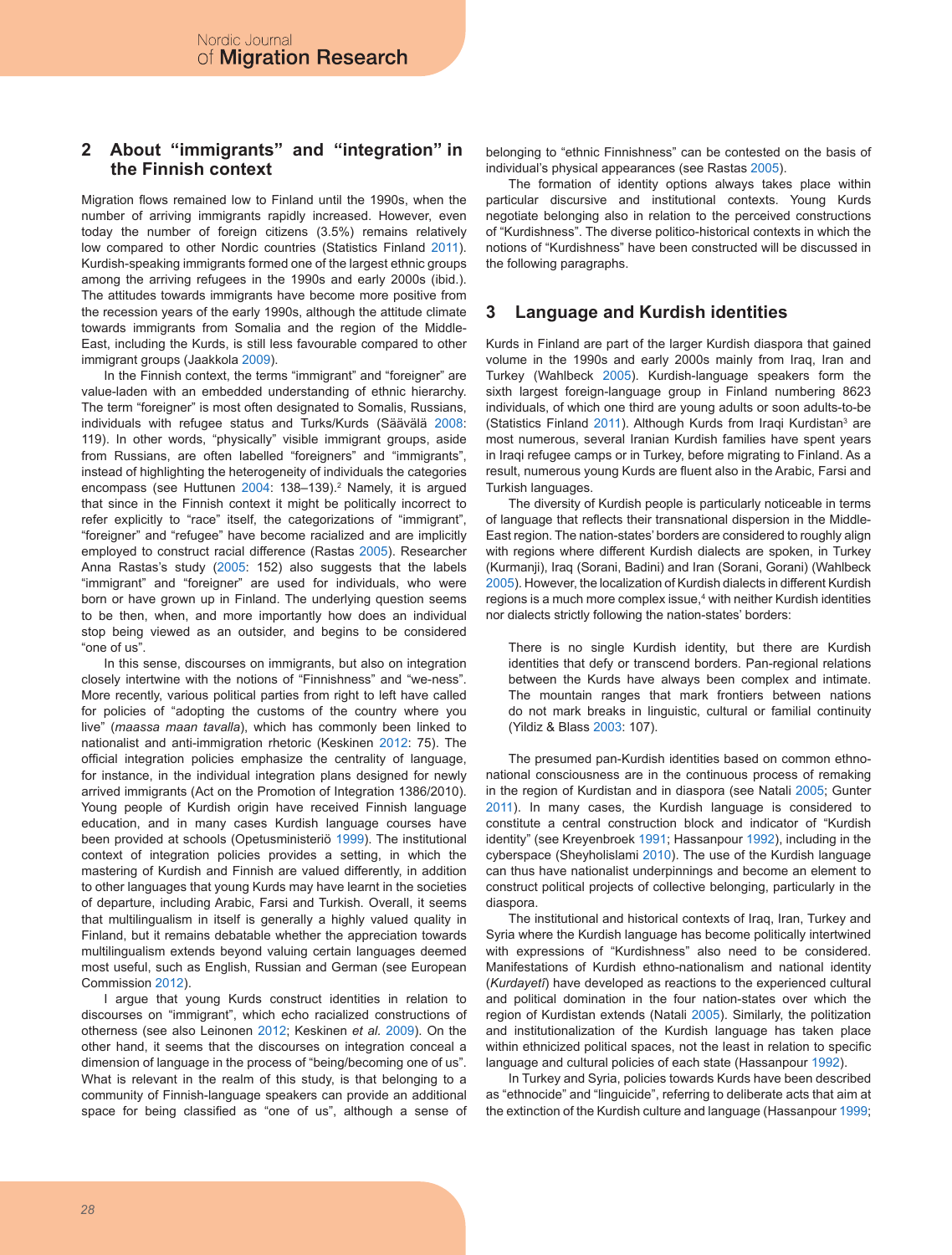# **2 About "immigrants" and "integration" in the Finnish context**

Migration flows remained low to Finland until the 1990s, when the number of arriving immigrants rapidly increased. However, even today the number of foreign citizens (3.5%) remains relatively low compared to other Nordic countries (Statistics Finland 2011). Kurdish-speaking immigrants formed one of the largest ethnic groups among the arriving refugees in the 1990s and early 2000s (ibid.). The attitudes towards immigrants have become more positive from the recession years of the early 1990s, although the attitude climate towards immigrants from Somalia and the region of the Middle-East, including the Kurds, is still less favourable compared to other immigrant groups (Jaakkola 2009).

In the Finnish context, the terms "immigrant" and "foreigner" are value-laden with an embedded understanding of ethnic hierarchy. The term "foreigner" is most often designated to Somalis, Russians, individuals with refugee status and Turks/Kurds (Säävälä 2008: 119). In other words, "physically" visible immigrant groups, aside from Russians, are often labelled "foreigners" and "immigrants", instead of highlighting the heterogeneity of individuals the categories encompass (see Huttunen 2004: 138–139).<sup>2</sup> Namely, it is argued that since in the Finnish context it might be politically incorrect to refer explicitly to "race" itself, the categorizations of "immigrant", "foreigner" and "refugee" have become racialized and are implicitly employed to construct racial difference (Rastas 2005). Researcher Anna Rastas's study (2005: 152) also suggests that the labels "immigrant" and "foreigner" are used for individuals, who were born or have grown up in Finland. The underlying question seems to be then, when, and more importantly how does an individual stop being viewed as an outsider, and begins to be considered "one of us".

In this sense, discourses on immigrants, but also on integration closely intertwine with the notions of "Finnishness" and "we-ness". More recently, various political parties from right to left have called for policies of "adopting the customs of the country where you live" (*maassa maan tavalla*), which has commonly been linked to nationalist and anti-immigration rhetoric (Keskinen 2012: 75). The official integration policies emphasize the centrality of language, for instance, in the individual integration plans designed for newly arrived immigrants (Act on the Promotion of Integration 1386/2010). Young people of Kurdish origin have received Finnish language education, and in many cases Kurdish language courses have been provided at schools (Opetusministeriö 1999). The institutional context of integration policies provides a setting, in which the mastering of Kurdish and Finnish are valued differently, in addition to other languages that young Kurds may have learnt in the societies of departure, including Arabic, Farsi and Turkish. Overall, it seems that multilingualism in itself is generally a highly valued quality in Finland, but it remains debatable whether the appreciation towards multilingualism extends beyond valuing certain languages deemed most useful, such as English, Russian and German (see European Commission 2012).

I argue that young Kurds construct identities in relation to discourses on "immigrant", which echo racialized constructions of otherness (see also Leinonen 2012; Keskinen *et al.* 2009). On the other hand, it seems that the discourses on integration conceal a dimension of language in the process of "being/becoming one of us". What is relevant in the realm of this study, is that belonging to a community of Finnish-language speakers can provide an additional space for being classified as "one of us", although a sense of belonging to "ethnic Finnishness" can be contested on the basis of individual's physical appearances (see Rastas 2005).

The formation of identity options always takes place within particular discursive and institutional contexts. Young Kurds negotiate belonging also in relation to the perceived constructions of "Kurdishness". The diverse politico-historical contexts in which the notions of "Kurdishness" have been constructed will be discussed in the following paragraphs.

### **3 Language and Kurdish identities**

Kurds in Finland are part of the larger Kurdish diaspora that gained volume in the 1990s and early 2000s mainly from Iraq, Iran and Turkey (Wahlbeck 2005). Kurdish-language speakers form the sixth largest foreign-language group in Finland numbering 8623 individuals, of which one third are young adults or soon adults-to-be (Statistics Finland 2011). Although Kurds from Iraqi Kurdistan<sup>3</sup> are most numerous, several Iranian Kurdish families have spent years in Iraqi refugee camps or in Turkey, before migrating to Finland. As a result, numerous young Kurds are fluent also in the Arabic, Farsi and Turkish languages.

The diversity of Kurdish people is particularly noticeable in terms of language that reflects their transnational dispersion in the Middle-East region. The nation-states' borders are considered to roughly align with regions where different Kurdish dialects are spoken, in Turkey (Kurmanji), Iraq (Sorani, Badini) and Iran (Sorani, Gorani) (Wahlbeck 2005). However, the localization of Kurdish dialects in different Kurdish regions is a much more complex issue,<sup>4</sup> with neither Kurdish identities nor dialects strictly following the nation-states' borders:

There is no single Kurdish identity, but there are Kurdish identities that defy or transcend borders. Pan-regional relations between the Kurds have always been complex and intimate. The mountain ranges that mark frontiers between nations do not mark breaks in linguistic, cultural or familial continuity (Yildiz & Blass 2003: 107).

The presumed pan-Kurdish identities based on common ethnonational consciousness are in the continuous process of remaking in the region of Kurdistan and in diaspora (see Natali 2005; Gunter 2011). In many cases, the Kurdish language is considered to constitute a central construction block and indicator of "Kurdish identity" (see Kreyenbroek 1991; Hassanpour 1992), including in the cyberspace (Sheyholislami 2010). The use of the Kurdish language can thus have nationalist underpinnings and become an element to construct political projects of collective belonging, particularly in the diaspora.

The institutional and historical contexts of Iraq, Iran, Turkey and Syria where the Kurdish language has become politically intertwined with expressions of "Kurdishness" also need to be considered. Manifestations of Kurdish ethno-nationalism and national identity (*Kurdayetî*) have developed as reactions to the experienced cultural and political domination in the four nation-states over which the region of Kurdistan extends (Natali 2005). Similarly, the politization and institutionalization of the Kurdish language has taken place within ethnicized political spaces, not the least in relation to specific language and cultural policies of each state (Hassanpour 1992).

In Turkey and Syria, policies towards Kurds have been described as "ethnocide" and "linguicide", referring to deliberate acts that aim at the extinction of the Kurdish culture and language (Hassanpour 1999;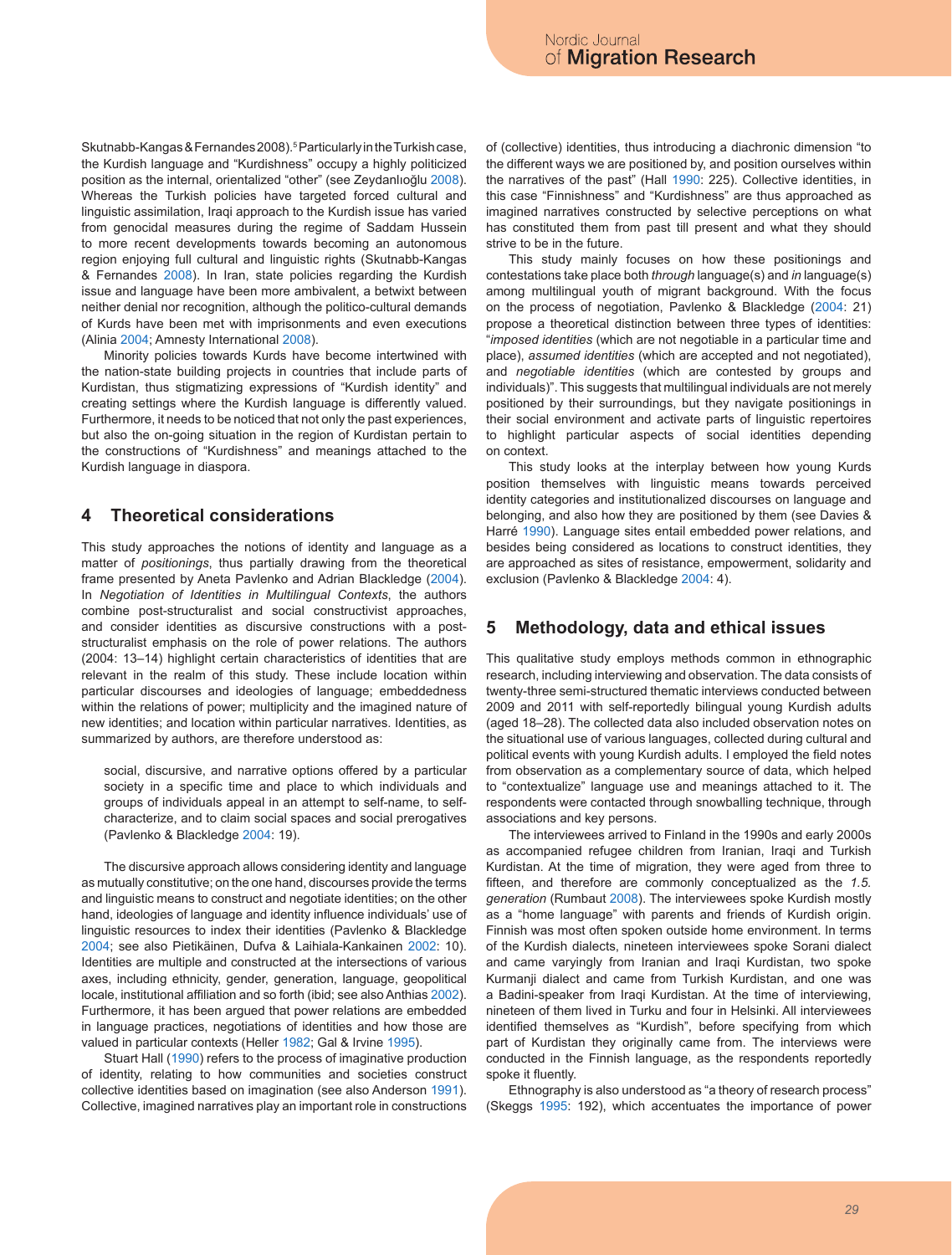Skutnabb-Kangas & Fernandes 2008).5 Particularly in the Turkish case, the Kurdish language and "Kurdishness" occupy a highly politicized position as the internal, orientalized "other" (see Zeydanlıoğlu 2008). Whereas the Turkish policies have targeted forced cultural and linguistic assimilation, Iraqi approach to the Kurdish issue has varied from genocidal measures during the regime of Saddam Hussein to more recent developments towards becoming an autonomous region enjoying full cultural and linguistic rights (Skutnabb-Kangas & Fernandes 2008). In Iran, state policies regarding the Kurdish issue and language have been more ambivalent, a betwixt between neither denial nor recognition, although the politico-cultural demands of Kurds have been met with imprisonments and even executions (Alinia 2004; Amnesty International 2008).

Minority policies towards Kurds have become intertwined with the nation-state building projects in countries that include parts of Kurdistan, thus stigmatizing expressions of "Kurdish identity" and creating settings where the Kurdish language is differently valued. Furthermore, it needs to be noticed that not only the past experiences, but also the on-going situation in the region of Kurdistan pertain to the constructions of "Kurdishness" and meanings attached to the Kurdish language in diaspora.

### **4 Theoretical considerations**

This study approaches the notions of identity and language as a matter of *positionings*, thus partially drawing from the theoretical frame presented by Aneta Pavlenko and Adrian Blackledge (2004). In *Negotiation of Identities in Multilingual Contexts*, the authors combine post-structuralist and social constructivist approaches, and consider identities as discursive constructions with a poststructuralist emphasis on the role of power relations. The authors (2004: 13–14) highlight certain characteristics of identities that are relevant in the realm of this study. These include location within particular discourses and ideologies of language; embeddedness within the relations of power; multiplicity and the imagined nature of new identities; and location within particular narratives. Identities, as summarized by authors, are therefore understood as:

social, discursive, and narrative options offered by a particular society in a specific time and place to which individuals and groups of individuals appeal in an attempt to self-name, to selfcharacterize, and to claim social spaces and social prerogatives (Pavlenko & Blackledge 2004: 19).

The discursive approach allows considering identity and language as mutually constitutive; on the one hand, discourses provide the terms and linguistic means to construct and negotiate identities; on the other hand, ideologies of language and identity influence individuals' use of linguistic resources to index their identities (Pavlenko & Blackledge 2004; see also Pietikäinen, Dufva & Laihiala-Kankainen 2002: 10). Identities are multiple and constructed at the intersections of various axes, including ethnicity, gender, generation, language, geopolitical locale, institutional affiliation and so forth (ibid; see also Anthias 2002). Furthermore, it has been argued that power relations are embedded in language practices, negotiations of identities and how those are valued in particular contexts (Heller 1982; Gal & Irvine 1995).

Stuart Hall (1990) refers to the process of imaginative production of identity, relating to how communities and societies construct collective identities based on imagination (see also Anderson 1991). Collective, imagined narratives play an important role in constructions of (collective) identities, thus introducing a diachronic dimension "to the different ways we are positioned by, and position ourselves within the narratives of the past" (Hall 1990: 225). Collective identities, in this case "Finnishness" and "Kurdishness" are thus approached as imagined narratives constructed by selective perceptions on what has constituted them from past till present and what they should strive to be in the future.

This study mainly focuses on how these positionings and contestations take place both *through* language(s) and *in* language(s) among multilingual youth of migrant background. With the focus on the process of negotiation, Pavlenko & Blackledge (2004: 21) propose a theoretical distinction between three types of identities: "*imposed identities* (which are not negotiable in a particular time and place), *assumed identities* (which are accepted and not negotiated), and *negotiable identities* (which are contested by groups and individuals)". This suggests that multilingual individuals are not merely positioned by their surroundings, but they navigate positionings in their social environment and activate parts of linguistic repertoires to highlight particular aspects of social identities depending on context.

This study looks at the interplay between how young Kurds position themselves with linguistic means towards perceived identity categories and institutionalized discourses on language and belonging, and also how they are positioned by them (see Davies & Harré 1990). Language sites entail embedded power relations, and besides being considered as locations to construct identities, they are approached as sites of resistance, empowerment, solidarity and exclusion (Pavlenko & Blackledge 2004: 4).

### **5 Methodology, data and ethical issues**

This qualitative study employs methods common in ethnographic research, including interviewing and observation. The data consists of twenty-three semi-structured thematic interviews conducted between 2009 and 2011 with self-reportedly bilingual young Kurdish adults (aged 18–28). The collected data also included observation notes on the situational use of various languages, collected during cultural and political events with young Kurdish adults. I employed the field notes from observation as a complementary source of data, which helped to "contextualize" language use and meanings attached to it. The respondents were contacted through snowballing technique, through associations and key persons.

The interviewees arrived to Finland in the 1990s and early 2000s as accompanied refugee children from Iranian, Iraqi and Turkish Kurdistan. At the time of migration, they were aged from three to fifteen, and therefore are commonly conceptualized as the *1.5. generation* (Rumbaut 2008). The interviewees spoke Kurdish mostly as a "home language" with parents and friends of Kurdish origin. Finnish was most often spoken outside home environment. In terms of the Kurdish dialects, nineteen interviewees spoke Sorani dialect and came varyingly from Iranian and Iraqi Kurdistan, two spoke Kurmanji dialect and came from Turkish Kurdistan, and one was a Badini-speaker from Iraqi Kurdistan. At the time of interviewing, nineteen of them lived in Turku and four in Helsinki. All interviewees identified themselves as "Kurdish", before specifying from which part of Kurdistan they originally came from. The interviews were conducted in the Finnish language, as the respondents reportedly spoke it fluently.

Ethnography is also understood as "a theory of research process" (Skeggs 1995: 192), which accentuates the importance of power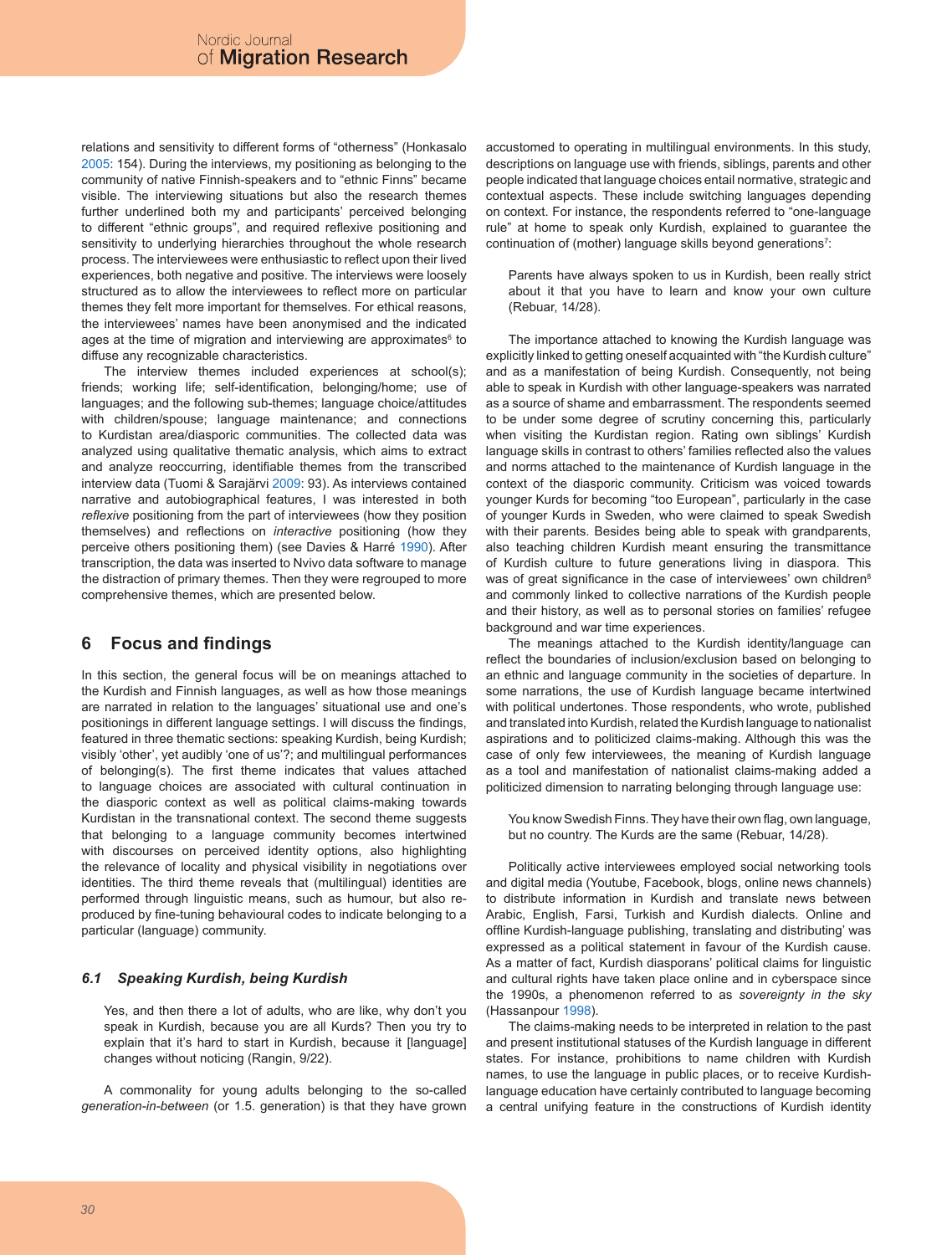relations and sensitivity to different forms of "otherness" (Honkasalo 2005: 154). During the interviews, my positioning as belonging to the community of native Finnish-speakers and to "ethnic Finns" became visible. The interviewing situations but also the research themes further underlined both my and participants' perceived belonging to different "ethnic groups", and required reflexive positioning and sensitivity to underlying hierarchies throughout the whole research process. The interviewees were enthusiastic to reflect upon their lived experiences, both negative and positive. The interviews were loosely structured as to allow the interviewees to reflect more on particular themes they felt more important for themselves. For ethical reasons, the interviewees' names have been anonymised and the indicated ages at the time of migration and interviewing are approximates<sup>6</sup> to diffuse any recognizable characteristics.

The interview themes included experiences at school(s); friends; working life; self-identification, belonging/home; use of languages; and the following sub-themes; language choice/attitudes with children/spouse; language maintenance; and connections to Kurdistan area/diasporic communities. The collected data was analyzed using qualitative thematic analysis, which aims to extract and analyze reoccurring, identifiable themes from the transcribed interview data (Tuomi & Sarajärvi 2009: 93). As interviews contained narrative and autobiographical features, I was interested in both *reflexive* positioning from the part of interviewees (how they position themselves) and reflections on *interactive* positioning (how they perceive others positioning them) (see Davies & Harré 1990). After transcription, the data was inserted to Nvivo data software to manage the distraction of primary themes. Then they were regrouped to more comprehensive themes, which are presented below.

# **6 Focus and findings**

In this section, the general focus will be on meanings attached to the Kurdish and Finnish languages, as well as how those meanings are narrated in relation to the languages' situational use and one's positionings in different language settings. I will discuss the findings, featured in three thematic sections: speaking Kurdish, being Kurdish; visibly 'other', yet audibly 'one of us'?; and multilingual performances of belonging(s). The first theme indicates that values attached to language choices are associated with cultural continuation in the diasporic context as well as political claims-making towards Kurdistan in the transnational context. The second theme suggests that belonging to a language community becomes intertwined with discourses on perceived identity options, also highlighting the relevance of locality and physical visibility in negotiations over identities. The third theme reveals that (multilingual) identities are performed through linguistic means, such as humour, but also reproduced by fine-tuning behavioural codes to indicate belonging to a particular (language) community.

### *6.1 Speaking Kurdish, being Kurdish*

Yes, and then there a lot of adults, who are like, why don't you speak in Kurdish, because you are all Kurds? Then you try to explain that it's hard to start in Kurdish, because it [language] changes without noticing (Rangin, 9/22).

A commonality for young adults belonging to the so-called *generation-in-between* (or 1.5. generation) is that they have grown accustomed to operating in multilingual environments. In this study, descriptions on language use with friends, siblings, parents and other people indicated that language choices entail normative, strategic and contextual aspects. These include switching languages depending on context. For instance, the respondents referred to "one-language rule" at home to speak only Kurdish, explained to guarantee the continuation of (mother) language skills beyond generations<sup>7</sup>:

Parents have always spoken to us in Kurdish, been really strict about it that you have to learn and know your own culture (Rebuar, 14/28).

The importance attached to knowing the Kurdish language was explicitly linked to getting oneself acquainted with "the Kurdish culture" and as a manifestation of being Kurdish. Consequently, not being able to speak in Kurdish with other language-speakers was narrated as a source of shame and embarrassment. The respondents seemed to be under some degree of scrutiny concerning this, particularly when visiting the Kurdistan region. Rating own siblings' Kurdish language skills in contrast to others' families reflected also the values and norms attached to the maintenance of Kurdish language in the context of the diasporic community. Criticism was voiced towards younger Kurds for becoming "too European", particularly in the case of younger Kurds in Sweden, who were claimed to speak Swedish with their parents. Besides being able to speak with grandparents, also teaching children Kurdish meant ensuring the transmittance of Kurdish culture to future generations living in diaspora. This was of great significance in the case of interviewees' own children<sup>8</sup> and commonly linked to collective narrations of the Kurdish people and their history, as well as to personal stories on families' refugee background and war time experiences.

The meanings attached to the Kurdish identity/language can reflect the boundaries of inclusion/exclusion based on belonging to an ethnic and language community in the societies of departure. In some narrations, the use of Kurdish language became intertwined with political undertones. Those respondents, who wrote, published and translated into Kurdish, related the Kurdish language to nationalist aspirations and to politicized claims-making. Although this was the case of only few interviewees, the meaning of Kurdish language as a tool and manifestation of nationalist claims-making added a politicized dimension to narrating belonging through language use:

You know Swedish Finns. They have their own flag, own language, but no country. The Kurds are the same (Rebuar, 14/28).

Politically active interviewees employed social networking tools and digital media (Youtube, Facebook, blogs, online news channels) to distribute information in Kurdish and translate news between Arabic, English, Farsi, Turkish and Kurdish dialects. Online and offline Kurdish-language publishing, translating and distributing' was expressed as a political statement in favour of the Kurdish cause. As a matter of fact, Kurdish diasporans' political claims for linguistic and cultural rights have taken place online and in cyberspace since the 1990s, a phenomenon referred to as *sovereignty in the sky* (Hassanpour 1998).

The claims-making needs to be interpreted in relation to the past and present institutional statuses of the Kurdish language in different states. For instance, prohibitions to name children with Kurdish names, to use the language in public places, or to receive Kurdishlanguage education have certainly contributed to language becoming a central unifying feature in the constructions of Kurdish identity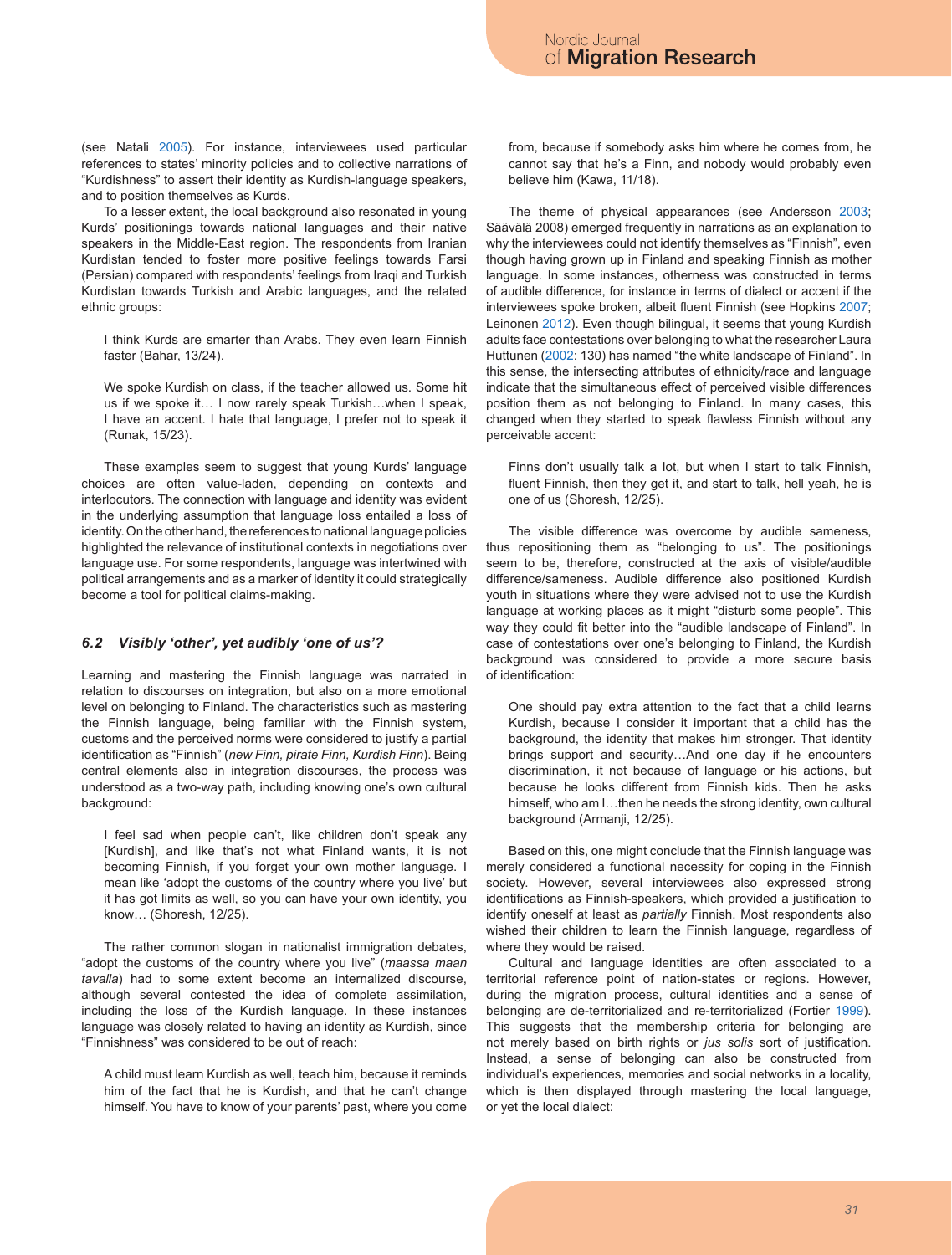(see Natali 2005). For instance, interviewees used particular references to states' minority policies and to collective narrations of "Kurdishness" to assert their identity as Kurdish-language speakers, and to position themselves as Kurds.

To a lesser extent, the local background also resonated in young Kurds' positionings towards national languages and their native speakers in the Middle-East region. The respondents from Iranian Kurdistan tended to foster more positive feelings towards Farsi (Persian) compared with respondents' feelings from Iraqi and Turkish Kurdistan towards Turkish and Arabic languages, and the related ethnic groups:

I think Kurds are smarter than Arabs. They even learn Finnish faster (Bahar, 13/24).

We spoke Kurdish on class, if the teacher allowed us. Some hit us if we spoke it… I now rarely speak Turkish…when I speak, I have an accent. I hate that language, I prefer not to speak it (Runak, 15/23).

These examples seem to suggest that young Kurds' language choices are often value-laden, depending on contexts and interlocutors. The connection with language and identity was evident in the underlying assumption that language loss entailed a loss of identity. On the other hand, the references to national language policies highlighted the relevance of institutional contexts in negotiations over language use. For some respondents, language was intertwined with political arrangements and as a marker of identity it could strategically become a tool for political claims-making.

#### *6.2 Visibly 'other', yet audibly 'one of us'?*

Learning and mastering the Finnish language was narrated in relation to discourses on integration, but also on a more emotional level on belonging to Finland. The characteristics such as mastering the Finnish language, being familiar with the Finnish system, customs and the perceived norms were considered to justify a partial identification as "Finnish" (*new Finn, pirate Finn, Kurdish Finn*). Being central elements also in integration discourses, the process was understood as a two-way path, including knowing one's own cultural background:

I feel sad when people can't, like children don't speak any [Kurdish], and like that's not what Finland wants, it is not becoming Finnish, if you forget your own mother language. I mean like 'adopt the customs of the country where you live' but it has got limits as well, so you can have your own identity, you know… (Shoresh, 12/25).

The rather common slogan in nationalist immigration debates, "adopt the customs of the country where you live" (*maassa maan tavalla*) had to some extent become an internalized discourse, although several contested the idea of complete assimilation, including the loss of the Kurdish language. In these instances language was closely related to having an identity as Kurdish, since "Finnishness" was considered to be out of reach:

A child must learn Kurdish as well, teach him, because it reminds him of the fact that he is Kurdish, and that he can't change himself. You have to know of your parents' past, where you come from, because if somebody asks him where he comes from, he cannot say that he's a Finn, and nobody would probably even believe him (Kawa, 11/18).

The theme of physical appearances (see Andersson 2003; Säävälä 2008) emerged frequently in narrations as an explanation to why the interviewees could not identify themselves as "Finnish", even though having grown up in Finland and speaking Finnish as mother language. In some instances, otherness was constructed in terms of audible difference, for instance in terms of dialect or accent if the interviewees spoke broken, albeit fluent Finnish (see Hopkins 2007; Leinonen 2012). Even though bilingual, it seems that young Kurdish adults face contestations over belonging to what the researcher Laura Huttunen (2002: 130) has named "the white landscape of Finland". In this sense, the intersecting attributes of ethnicity/race and language indicate that the simultaneous effect of perceived visible differences position them as not belonging to Finland. In many cases, this changed when they started to speak flawless Finnish without any perceivable accent:

Finns don't usually talk a lot, but when I start to talk Finnish, fluent Finnish, then they get it, and start to talk, hell yeah, he is one of us (Shoresh, 12/25).

The visible difference was overcome by audible sameness, thus repositioning them as "belonging to us". The positionings seem to be, therefore, constructed at the axis of visible/audible difference/sameness. Audible difference also positioned Kurdish youth in situations where they were advised not to use the Kurdish language at working places as it might "disturb some people". This way they could fit better into the "audible landscape of Finland". In case of contestations over one's belonging to Finland, the Kurdish background was considered to provide a more secure basis of identification:

One should pay extra attention to the fact that a child learns Kurdish, because I consider it important that a child has the background, the identity that makes him stronger. That identity brings support and security…And one day if he encounters discrimination, it not because of language or his actions, but because he looks different from Finnish kids. Then he asks himself, who am I…then he needs the strong identity, own cultural background (Armanji, 12/25).

Based on this, one might conclude that the Finnish language was merely considered a functional necessity for coping in the Finnish society. However, several interviewees also expressed strong identifications as Finnish-speakers, which provided a justification to identify oneself at least as *partially* Finnish. Most respondents also wished their children to learn the Finnish language, regardless of where they would be raised.

Cultural and language identities are often associated to a territorial reference point of nation-states or regions. However, during the migration process, cultural identities and a sense of belonging are de-territorialized and re-territorialized (Fortier 1999). This suggests that the membership criteria for belonging are not merely based on birth rights or *jus solis* sort of justification. Instead, a sense of belonging can also be constructed from individual's experiences, memories and social networks in a locality, which is then displayed through mastering the local language, or yet the local dialect: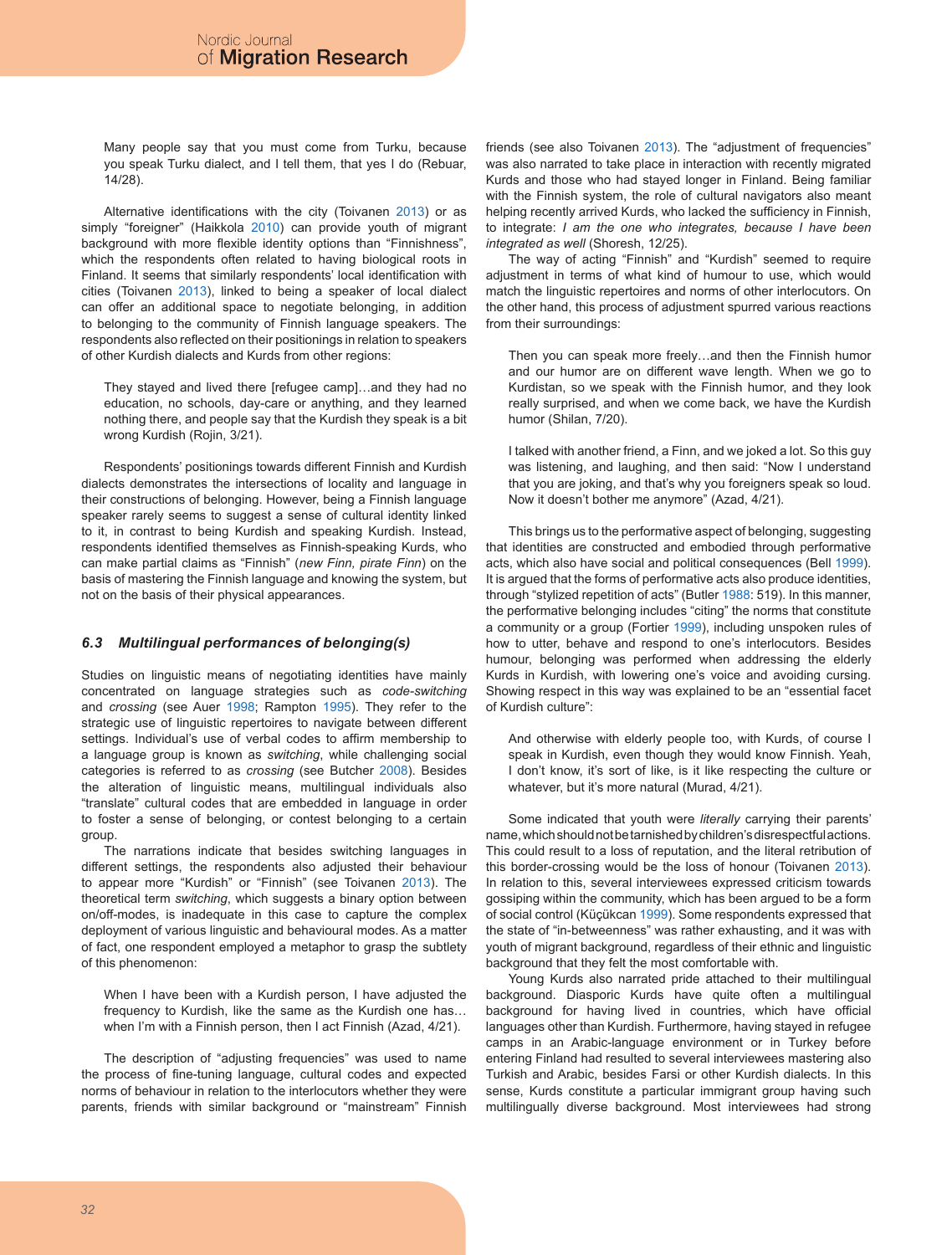Many people say that you must come from Turku, because you speak Turku dialect, and I tell them, that yes I do (Rebuar, 14/28).

Alternative identifications with the city (Toivanen 2013) or as simply "foreigner" (Haikkola 2010) can provide youth of migrant background with more flexible identity options than "Finnishness", which the respondents often related to having biological roots in Finland. It seems that similarly respondents' local identification with cities (Toivanen 2013), linked to being a speaker of local dialect can offer an additional space to negotiate belonging, in addition to belonging to the community of Finnish language speakers. The respondents also reflected on their positionings in relation to speakers of other Kurdish dialects and Kurds from other regions:

They stayed and lived there [refugee camp]…and they had no education, no schools, day-care or anything, and they learned nothing there, and people say that the Kurdish they speak is a bit wrong Kurdish (Rojin, 3/21).

Respondents' positionings towards different Finnish and Kurdish dialects demonstrates the intersections of locality and language in their constructions of belonging. However, being a Finnish language speaker rarely seems to suggest a sense of cultural identity linked to it, in contrast to being Kurdish and speaking Kurdish. Instead, respondents identified themselves as Finnish-speaking Kurds, who can make partial claims as "Finnish" (*new Finn, pirate Finn*) on the basis of mastering the Finnish language and knowing the system, but not on the basis of their physical appearances.

#### *6.3 Multilingual performances of belonging(s)*

Studies on linguistic means of negotiating identities have mainly concentrated on language strategies such as *code-switching* and *crossing* (see Auer 1998; Rampton 1995). They refer to the strategic use of linguistic repertoires to navigate between different settings. Individual's use of verbal codes to affirm membership to a language group is known as *switching*, while challenging social categories is referred to as *crossing* (see Butcher 2008). Besides the alteration of linguistic means, multilingual individuals also "translate" cultural codes that are embedded in language in order to foster a sense of belonging, or contest belonging to a certain group.

The narrations indicate that besides switching languages in different settings, the respondents also adjusted their behaviour to appear more "Kurdish" or "Finnish" (see Toivanen 2013). The theoretical term *switching*, which suggests a binary option between on/off-modes, is inadequate in this case to capture the complex deployment of various linguistic and behavioural modes. As a matter of fact, one respondent employed a metaphor to grasp the subtlety of this phenomenon:

When I have been with a Kurdish person, I have adjusted the frequency to Kurdish, like the same as the Kurdish one has… when I'm with a Finnish person, then I act Finnish (Azad, 4/21).

The description of "adjusting frequencies" was used to name the process of fine-tuning language, cultural codes and expected norms of behaviour in relation to the interlocutors whether they were parents, friends with similar background or "mainstream" Finnish friends (see also Toivanen 2013). The "adjustment of frequencies" was also narrated to take place in interaction with recently migrated Kurds and those who had stayed longer in Finland. Being familiar with the Finnish system, the role of cultural navigators also meant helping recently arrived Kurds, who lacked the sufficiency in Finnish, to integrate: *I am the one who integrates, because I have been integrated as well* (Shoresh, 12/25).

The way of acting "Finnish" and "Kurdish" seemed to require adjustment in terms of what kind of humour to use, which would match the linguistic repertoires and norms of other interlocutors. On the other hand, this process of adjustment spurred various reactions from their surroundings:

Then you can speak more freely…and then the Finnish humor and our humor are on different wave length. When we go to Kurdistan, so we speak with the Finnish humor, and they look really surprised, and when we come back, we have the Kurdish humor (Shilan, 7/20).

I talked with another friend, a Finn, and we joked a lot. So this guy was listening, and laughing, and then said: "Now I understand that you are joking, and that's why you foreigners speak so loud. Now it doesn't bother me anymore" (Azad, 4/21).

This brings us to the performative aspect of belonging, suggesting that identities are constructed and embodied through performative acts, which also have social and political consequences (Bell 1999). It is argued that the forms of performative acts also produce identities, through "stylized repetition of acts" (Butler 1988: 519). In this manner, the performative belonging includes "citing" the norms that constitute a community or a group (Fortier 1999), including unspoken rules of how to utter, behave and respond to one's interlocutors. Besides humour, belonging was performed when addressing the elderly Kurds in Kurdish, with lowering one's voice and avoiding cursing. Showing respect in this way was explained to be an "essential facet of Kurdish culture":

And otherwise with elderly people too, with Kurds, of course I speak in Kurdish, even though they would know Finnish. Yeah, I don't know, it's sort of like, is it like respecting the culture or whatever, but it's more natural (Murad, 4/21).

Some indicated that youth were *literally* carrying their parents' name, which should not be tarnished by children's disrespectful actions. This could result to a loss of reputation, and the literal retribution of this border-crossing would be the loss of honour (Toivanen 2013). In relation to this, several interviewees expressed criticism towards gossiping within the community, which has been argued to be a form of social control (Küçükcan 1999). Some respondents expressed that the state of "in-betweenness" was rather exhausting, and it was with youth of migrant background, regardless of their ethnic and linguistic background that they felt the most comfortable with.

Young Kurds also narrated pride attached to their multilingual background. Diasporic Kurds have quite often a multilingual background for having lived in countries, which have official languages other than Kurdish. Furthermore, having stayed in refugee camps in an Arabic-language environment or in Turkey before entering Finland had resulted to several interviewees mastering also Turkish and Arabic, besides Farsi or other Kurdish dialects. In this sense, Kurds constitute a particular immigrant group having such multilingually diverse background. Most interviewees had strong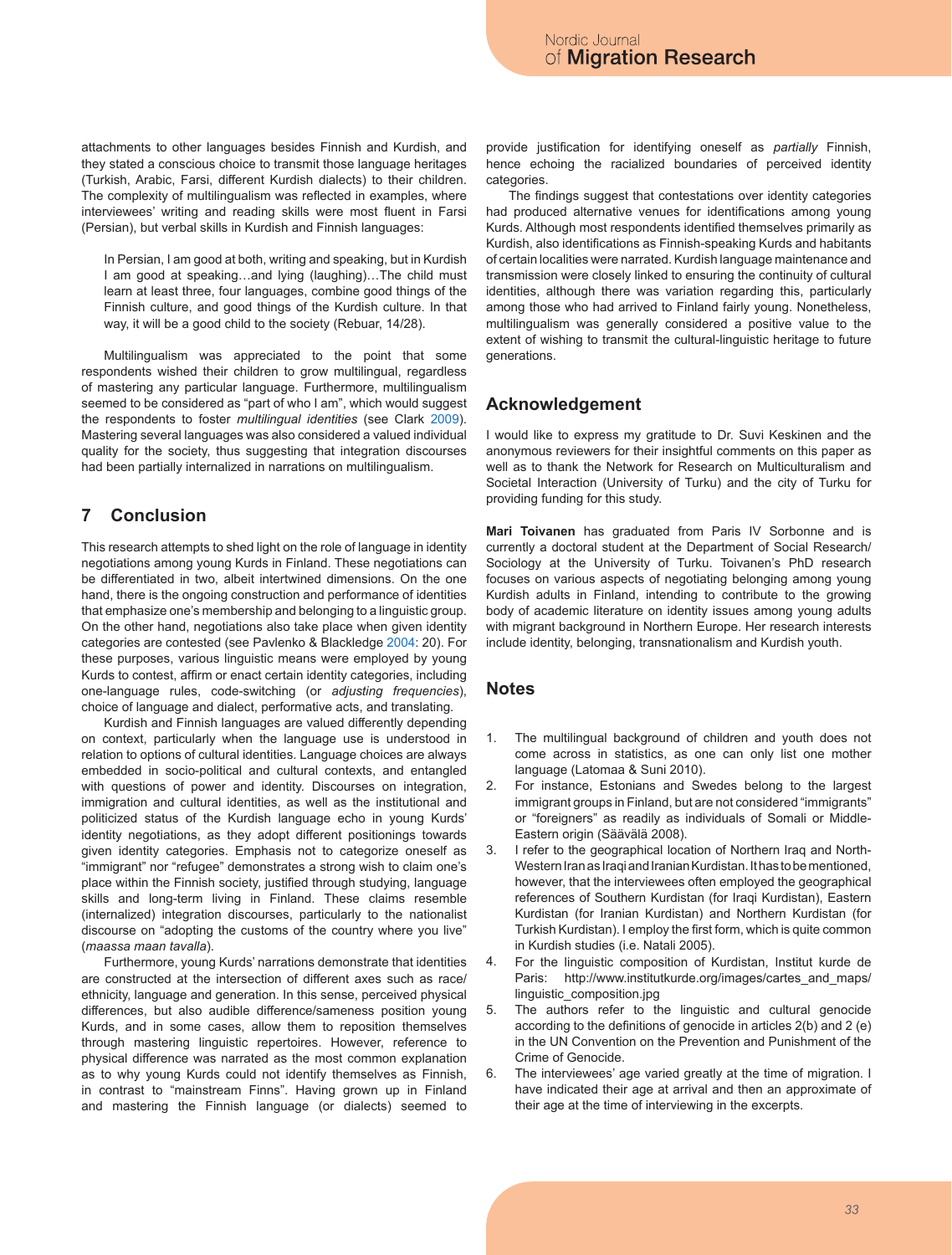attachments to other languages besides Finnish and Kurdish, and they stated a conscious choice to transmit those language heritages (Turkish, Arabic, Farsi, different Kurdish dialects) to their children. The complexity of multilingualism was reflected in examples, where interviewees' writing and reading skills were most fluent in Farsi (Persian), but verbal skills in Kurdish and Finnish languages:

In Persian, I am good at both, writing and speaking, but in Kurdish I am good at speaking…and lying (laughing)…The child must learn at least three, four languages, combine good things of the Finnish culture, and good things of the Kurdish culture. In that way, it will be a good child to the society (Rebuar, 14/28).

Multilingualism was appreciated to the point that some respondents wished their children to grow multilingual, regardless of mastering any particular language. Furthermore, multilingualism seemed to be considered as "part of who I am", which would suggest the respondents to foster *multilingual identities* (see Clark 2009). Mastering several languages was also considered a valued individual quality for the society, thus suggesting that integration discourses had been partially internalized in narrations on multilingualism.

# **7 Conclusion**

This research attempts to shed light on the role of language in identity negotiations among young Kurds in Finland. These negotiations can be differentiated in two, albeit intertwined dimensions. On the one hand, there is the ongoing construction and performance of identities that emphasize one's membership and belonging to a linguistic group. On the other hand, negotiations also take place when given identity categories are contested (see Pavlenko & Blackledge 2004: 20). For these purposes, various linguistic means were employed by young Kurds to contest, affirm or enact certain identity categories, including one-language rules, code-switching (or *adjusting frequencies*), choice of language and dialect, performative acts, and translating.

Kurdish and Finnish languages are valued differently depending on context, particularly when the language use is understood in relation to options of cultural identities. Language choices are always embedded in socio-political and cultural contexts, and entangled with questions of power and identity. Discourses on integration, immigration and cultural identities, as well as the institutional and politicized status of the Kurdish language echo in young Kurds' identity negotiations, as they adopt different positionings towards given identity categories. Emphasis not to categorize oneself as "immigrant" nor "refugee" demonstrates a strong wish to claim one's place within the Finnish society, justified through studying, language skills and long-term living in Finland. These claims resemble (internalized) integration discourses, particularly to the nationalist discourse on "adopting the customs of the country where you live" (*maassa maan tavalla*).

Furthermore, young Kurds' narrations demonstrate that identities are constructed at the intersection of different axes such as race/ ethnicity, language and generation. In this sense, perceived physical differences, but also audible difference/sameness position young Kurds, and in some cases, allow them to reposition themselves through mastering linguistic repertoires. However, reference to physical difference was narrated as the most common explanation as to why young Kurds could not identify themselves as Finnish, in contrast to "mainstream Finns". Having grown up in Finland and mastering the Finnish language (or dialects) seemed to

provide justification for identifying oneself as *partially* Finnish, hence echoing the racialized boundaries of perceived identity categories.

The findings suggest that contestations over identity categories had produced alternative venues for identifications among young Kurds. Although most respondents identified themselves primarily as Kurdish, also identifications as Finnish-speaking Kurds and habitants of certain localities were narrated. Kurdish language maintenance and transmission were closely linked to ensuring the continuity of cultural identities, although there was variation regarding this, particularly among those who had arrived to Finland fairly young. Nonetheless, multilingualism was generally considered a positive value to the extent of wishing to transmit the cultural-linguistic heritage to future generations.

## **Acknowledgement**

I would like to express my gratitude to Dr. Suvi Keskinen and the anonymous reviewers for their insightful comments on this paper as well as to thank the Network for Research on Multiculturalism and Societal Interaction (University of Turku) and the city of Turku for providing funding for this study.

**Mari Toivanen** has graduated from Paris IV Sorbonne and is currently a doctoral student at the Department of Social Research/ Sociology at the University of Turku. Toivanen's PhD research focuses on various aspects of negotiating belonging among young Kurdish adults in Finland, intending to contribute to the growing body of academic literature on identity issues among young adults with migrant background in Northern Europe. Her research interests include identity, belonging, transnationalism and Kurdish youth.

### **Notes**

- The multilingual background of children and youth does not come across in statistics, as one can only list one mother language (Latomaa & Suni 2010). 1.
- For instance, Estonians and Swedes belong to the largest immigrant groups in Finland, but are not considered "immigrants" or "foreigners" as readily as individuals of Somali or Middle-Eastern origin (Säävälä 2008). 2.
- I refer to the geographical location of Northern Iraq and North-Western Iran as Iraqi and Iranian Kurdistan. It has to be mentioned, however, that the interviewees often employed the geographical references of Southern Kurdistan (for Iraqi Kurdistan), Eastern Kurdistan (for Iranian Kurdistan) and Northern Kurdistan (for Turkish Kurdistan). I employ the first form, which is quite common in Kurdish studies (i.e. Natali 2005). 3.
- For the linguistic composition of Kurdistan, Institut kurde de Paris: http://www.institutkurde.org/images/cartes\_and\_maps/ linguistic\_composition.jpg 4.
- The authors refer to the linguistic and cultural genocide according to the definitions of genocide in articles 2(b) and 2 (e) in the UN Convention on the Prevention and Punishment of the Crime of Genocide. 5.
- The interviewees' age varied greatly at the time of migration. I have indicated their age at arrival and then an approximate of their age at the time of interviewing in the excerpts. 6.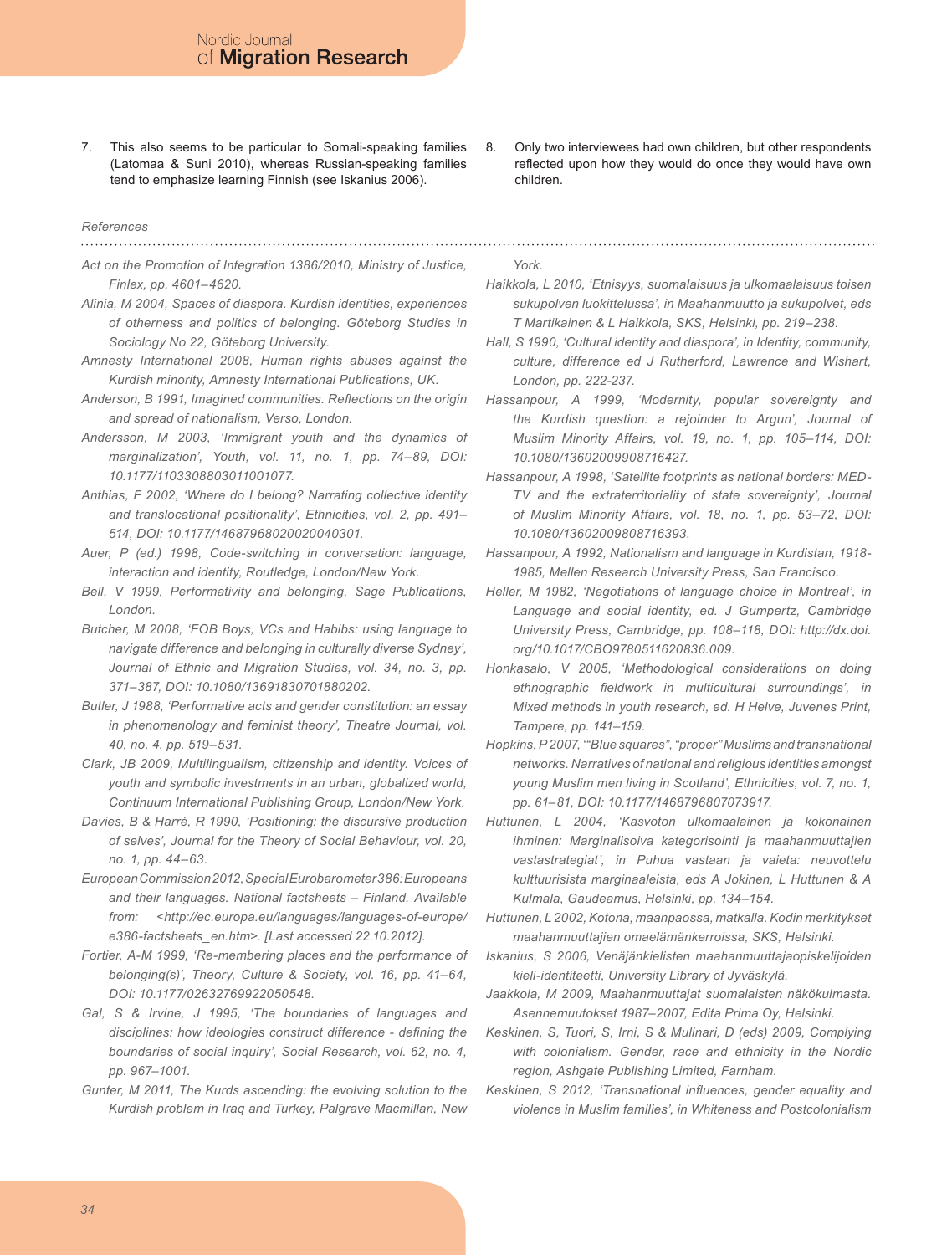This also seems to be particular to Somali-speaking families (Latomaa & Suni 2010), whereas Russian-speaking families tend to emphasize learning Finnish (see Iskanius 2006). 7.

#### *References*

*Act on the Promotion of Integration 1386/2010, Ministry of Justice, Finlex, pp. 4601–4620.*

- *Alinia, M 2004, Spaces of diaspora. Kurdish identities, experiences of otherness and politics of belonging. Göteborg Studies in Sociology No 22, Göteborg University.*
- *Amnesty International 2008, Human rights abuses against the Kurdish minority, Amnesty International Publications, UK.*
- *Anderson, B 1991, Imagined communities. Reflections on the origin and spread of nationalism, Verso, London.*
- *Andersson, M 2003, 'Immigrant youth and the dynamics of marginalization', Youth, vol. 11, no. 1, pp. 74–89, DOI: 10.1177/1103308803011001077.*
- *Anthias, F 2002, 'Where do I belong? Narrating collective identity and translocational positionality', Ethnicities, vol. 2, pp. 491– 514, DOI: 10.1177/14687968020020040301.*
- *Auer, P (ed.) 1998, Code-switching in conversation: language, interaction and identity, Routledge, London/New York.*
- *Bell, V 1999, Performativity and belonging, Sage Publications, London.*
- *Butcher, M 2008, 'FOB Boys, VCs and Habibs: using language to navigate difference and belonging in culturally diverse Sydney',*  Journal of Ethnic and Migration Studies, vol. 34, no. 3, pp. *371–387, DOI: 10.1080/13691830701880202.*
- *Butler, J 1988, 'Performative acts and gender constitution: an essay in phenomenology and feminist theory', Theatre Journal, vol. 40, no. 4, pp. 519–531.*
- *Clark, JB 2009, Multilingualism, citizenship and identity. Voices of youth and symbolic investments in an urban, globalized world, Continuum International Publishing Group, London/New York.*
- *Davies, B & Harré, R 1990, 'Positioning: the discursive production of selves', Journal for the Theory of Social Behaviour, vol. 20, no. 1, pp. 44–63.*

*European Commission 2012, Special Eurobarometer 386: Europeans and their languages. National factsheets – Finland. Available from: <http://ec.europa.eu/languages/languages-of-europe/ e386-factsheets\_en.htm>. [Last accessed 22.10.2012].*

*Fortier, A-M 1999, 'Re-membering places and the performance of belonging(s)', Theory, Culture & Society, vol. 16, pp. 41–64, DOI: 10.1177/02632769922050548.*

*Gal, S & Irvine, J 1995, 'The boundaries of languages and disciplines: how ideologies construct difference - defining the boundaries of social inquiry', Social Research, vol. 62, no. 4, pp. 967–1001.*

*Gunter, M 2011, The Kurds ascending: the evolving solution to the Kurdish problem in Iraq and Turkey, Palgrave Macmillan, New*  *York.*

children.

8.

*Haikkola, L 2010, 'Etnisyys, suomalaisuus ja ulkomaalaisuus toisen sukupolven luokittelussa', in Maahanmuutto ja sukupolvet, eds T Martikainen & L Haikkola, SKS, Helsinki, pp. 219–238.*

Only two interviewees had own children, but other respondents reflected upon how they would do once they would have own

*Hall, S 1990, 'Cultural identity and diaspora', in Identity, community, culture, difference ed J Rutherford, Lawrence and Wishart, London, pp. 222-237.*

*Hassanpour, A 1999, 'Modernity, popular sovereignty and the Kurdish question: a rejoinder to Argun', Journal of Muslim Minority Affairs, vol. 19, no. 1, pp. 105–114, DOI: 10.1080/13602009908716427.*

*Hassanpour, A 1998, 'Satellite footprints as national borders: MED-TV and the extraterritoriality of state sovereignty', Journal of Muslim Minority Affairs, vol. 18, no. 1, pp. 53–72, DOI: 10.1080/13602009808716393.*

*Hassanpour, A 1992, Nationalism and language in Kurdistan, 1918- 1985, Mellen Research University Press, San Francisco.*

*Heller, M 1982, 'Negotiations of language choice in Montreal', in Language and social identity, ed. J Gumpertz, Cambridge University Press, Cambridge, pp. 108–118, DOI: http://dx.doi. org/10.1017/CBO9780511620836.009.*

*Honkasalo, V 2005, 'Methodological considerations on doing ethnographic fieldwork in multicultural surroundings', in Mixed methods in youth research, ed. H Helve, Juvenes Print, Tampere, pp. 141–159.*

*Hopkins, P 2007, '"Blue squares", "proper" Muslims and transnational networks. Narratives of national and religious identities amongst young Muslim men living in Scotland', Ethnicities, vol. 7, no. 1, pp. 61–81, DOI: 10.1177/1468796807073917.*

*Huttunen, L 2004, 'Kasvoton ulkomaalainen ja kokonainen ihminen: Marginalisoiva kategorisointi ja maahanmuuttajien vastastrategiat', in Puhua vastaan ja vaieta: neuvottelu kulttuurisista marginaaleista, eds A Jokinen, L Huttunen & A Kulmala, Gaudeamus, Helsinki, pp. 134–154.*

*Huttunen, L 2002, Kotona, maanpaossa, matkalla. Kodin merkitykset maahanmuuttajien omaelämänkerroissa, SKS, Helsinki.*

*Iskanius, S 2006, Venäjänkielisten maahanmuuttajaopiskelijoiden kieli-identiteetti, University Library of Jyväskylä.*

*Jaakkola, M 2009, Maahanmuuttajat suomalaisten näkökulmasta. Asennemuutokset 1987–2007, Edita Prima Oy, Helsinki.*

*Keskinen, S, Tuori, S, Irni, S & Mulinari, D (eds) 2009, Complying with colonialism. Gender, race and ethnicity in the Nordic region, Ashgate Publishing Limited, Farnham.*

*Keskinen, S 2012, 'Transnational influences, gender equality and violence in Muslim families', in Whiteness and Postcolonialism*